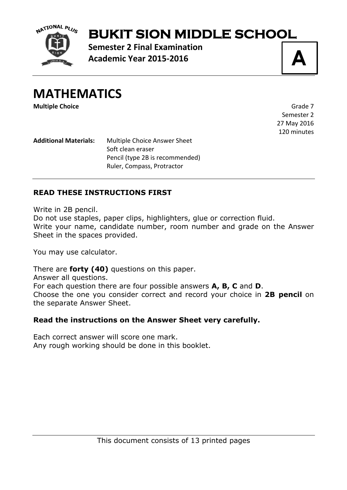

# **BUKIT SION MIDDLE SCHOOL**

**Semester 2 Final Examination Academic Year 2015-2016**

**A**

**MATHEMATICS**

**Multiple Choice** Grade 7

Semester 2 27 May 2016 120 minutes

**Additional Materials:** Multiple Choice Answer Sheet Soft clean eraser Pencil (type 2B is recommended) Ruler, Compass, Protractor

### **READ THESE INSTRUCTIONS FIRST**

Write in 2B pencil.

Do not use staples, paper clips, highlighters, glue or correction fluid. Write your name, candidate number, room number and grade on the Answer Sheet in the spaces provided.

You may use calculator.

There are **forty (40)** questions on this paper.

Answer all questions.

For each question there are four possible answers **A, B, C** and **D**.

Choose the one you consider correct and record your choice in **2B pencil** on the separate Answer Sheet.

#### **Read the instructions on the Answer Sheet very carefully.**

Each correct answer will score one mark. Any rough working should be done in this booklet.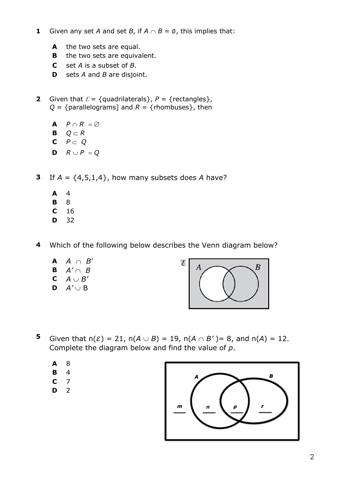- **1** Given any set *A* and set *B*, if  $A \cap B = \emptyset$ , this implies that:
	- **A** the two sets are equal.
	- **B** the two sets are equivalent.
	- **C** set *A* is a subset of *B*.
	- **D** sets *A* and *B* are disjoint.
- **2** Given that  $\mathcal{E} = \{$  quadrilaterals  $\}$ ,  $P = \{$  rectangles  $\}$ ,  $Q = \{parallellograms\}$  and  $R = \{rhombuses\}$ , then
	- **A**  $P \cap R = \emptyset$
	- **B**  $Q \subset R$
	- $P \subset Q$
	- **D**  $R \cup P = Q$
- **3** If  $A = \{4,5,1,4\}$ , how many subsets does A have?
	- **A** 4
	- **B** 8
	- **C** 16
	- **D** 32
- **4** Which of the following below describes the Venn diagram below?
	- $A \cap B'$ **B**  $A' \cap B$
	- **C**  $A \cup B'$
	- **D**  $A' \cup B$



- **5** Given that  $n(\mathcal{E}) = 21$ ,  $n(A \cup B) = 19$ ,  $n(A \cap B') = 8$ , and  $n(A) = 12$ . Complete the diagram below and find the value of *p*.
	- **A** 8
	- **B** 4
	- **C** 7
	- **D** 2

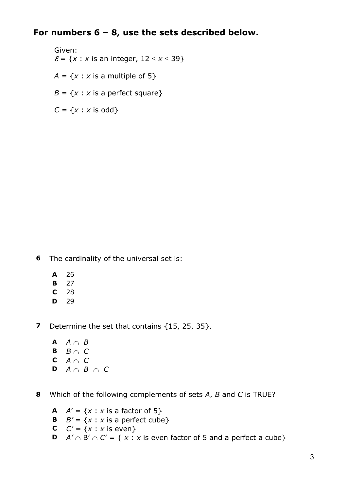# **For numbers 6 – 8, use the sets described below.**

Given:  $\mathcal{E} = \{x : x \text{ is an integer, } 12 \le x \le 39\}$  $A = \{x : x \text{ is a multiple of } 5\}$  $B = \{x : x \text{ is a perfect square}\}\$ 

 $C = \{x : x \text{ is odd}\}$ 

**6** The cardinality of the universal set is:

- **A** 26
- **B** 27
- **C** 28
- **D** 29

**7** Determine the set that contains {15, 25, 35}.

**A**  $A \cap B$ **B**  $B \cap C$ **C** *A* Ç *C* **D**  $A \cap B \cap C$ 

**8** Which of the following complements of sets *A*, *B* and *C* is TRUE?

- **A**  $A' = \{x : x \text{ is a factor of } 5\}$
- **B**  $B' = \{x : x \text{ is a perfect cube}\}$
- **C**  $C' = \{x : x \text{ is even}\}$
- **D**  $A' \cap B' \cap C' = \{ x : x \text{ is even factor of 5 and a perfect a cube } \}$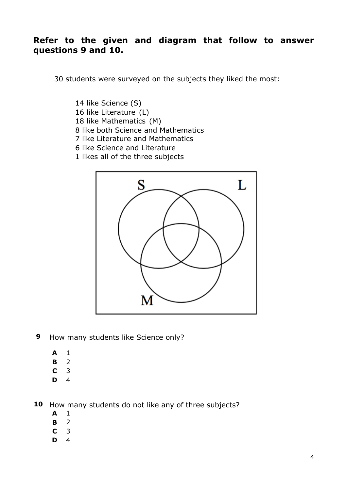## **Refer to the given and diagram that follow to answer questions 9 and 10.**

30 students were surveyed on the subjects they liked the most:

- 14 like Science (S)
- 16 like Literature (L)
- 18 like Mathematics (M)
- 8 like both Science and Mathematics
- 7 like Literature and Mathematics
- 6 like Science and Literature
- 1 likes all of the three subjects



- **9** How many students like Science only?
	- **A** 1
	- **B** 2
	- **C** 3
	- **D** 4

**10** How many students do not like any of three subjects?

- **A** 1
- **B** 2
- **C** 3
- **D** 4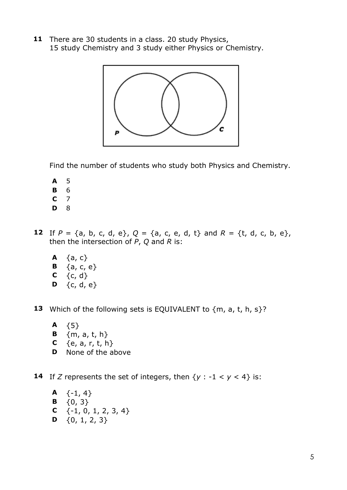**11** There are 30 students in a class. 20 study Physics, 15 study Chemistry and 3 study either Physics or Chemistry.



Find the number of students who study both Physics and Chemistry.

- **A** 5
- **B** 6
- **C** 7
- **D** 8
- **12** If  $P = \{a, b, c, d, e\}$ ,  $Q = \{a, c, e, d, t\}$  and  $R = \{t, d, c, b, e\}$ , then the intersection of *P*, *Q* and *R* is:
	- **A**  $\{a, c\}$ **B**  $\{a, c, e\}$
	-
	- **C**  ${c, d}$
	- **D**  $\{c, d, e\}$

**13** Which of the following sets is EQUIVALENT to  ${m, a, t, h, s}$ ?

- **A** {5}
- **B**  ${m, a, t, h}$
- **C**  ${e, a, r, t, h}$
- **D** None of the above

**14** If *Z* represents the set of integers, then  $\{y : -1 < y < 4\}$  is:

**A**  $\{-1, 4\}$ **B**  $\{0, 3\}$ **C** {-1, 0, 1, 2, 3, 4} **D**  $\{0, 1, 2, 3\}$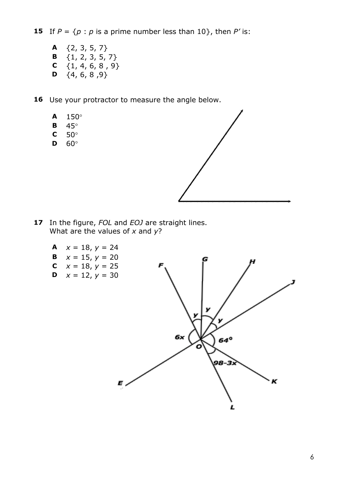**15** If  $P = \{p : p \text{ is a prime number less than 10}\}$ , then P' is:

- **A** {2, 3, 5, 7} **B** {1, 2, 3, 5, 7} **C**  $\{1, 4, 6, 8, 9\}$ **D**  $\{4, 6, 8, 9\}$
- 16 Use your protractor to measure the angle below.
	- **A** 150°
	- **B** 45°
	- **C** 50°
	- **D** 60°



- **17** In the figure, *FOL* and *EOJ* are straight lines. What are the values of *x* and *y*?
	- **A**  $x = 18$ ,  $y = 24$
	- **B**  $x = 15$ ,  $y = 20$
	- **C**  $x = 18$ ,  $y = 25$
	- **D**  $x = 12, y = 30$

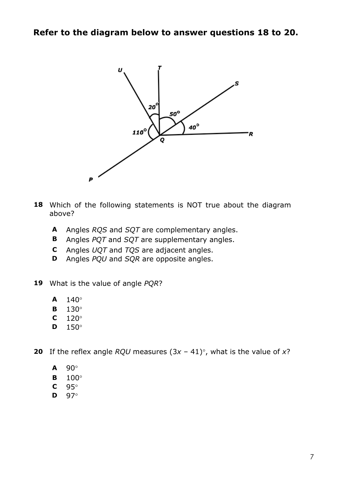

- **18** Which of the following statements is NOT true about the diagram above?
	- **A** Angles *RQS* and *SQT* are complementary angles.
	- **B** Angles *PQT* and *SQT* are supplementary angles.
	- **C** Angles *UQT* and *TQS* are adjacent angles.
	- **D** Angles *PQU* and *SQR* are opposite angles.
- **19** What is the value of angle *PQR*?
	- **A** 140°
	- **B** 130°
	- **C** 120°
	- **D** 150°
- **20** If the reflex angle *RQU* measures  $(3x 41)^\circ$ , what is the value of x?
	- **A** 90°
	- **B** 100°
	- **C** 95°
	- **D** 97°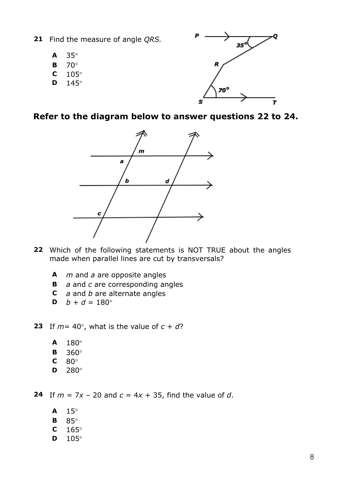- **21** Find the measure of angle *QRS.*
	- **A** 35°
	- **B** 70°
	- **C** 105°
	- **D** 145°



**Refer to the diagram below to answer questions 22 to 24.**



- **22** Which of the following statements is NOT TRUE about the angles made when parallel lines are cut by transversals?
	- **A** *m* and *a* are opposite angles
	- **B** *a* and *c* are corresponding angles
	- **C** *a* and *b* are alternate angles
	- **D**  $b + d = 180^{\circ}$
- **23** If  $m = 40^\circ$ , what is the value of  $c + d$ ?
	- **A** 180°
	- **B** 360°
	- **C** 80°
	- **D** 280°

**24** If  $m = 7x - 20$  and  $c = 4x + 35$ , find the value of *d*.

- **A** 15°
- **B** 85°
- **C** 165°
- **D** 105°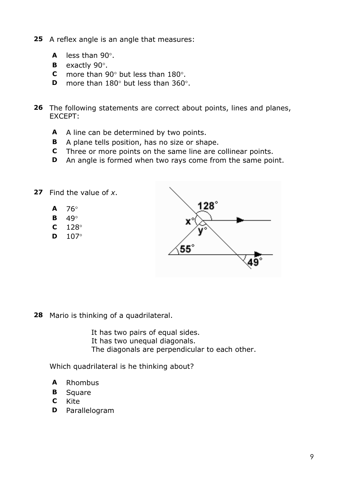- **25** A reflex angle is an angle that measures:
	- **A** less than 90°.
	- **B** exactly 90°.
	- **C** more than 90° but less than 180°.
	- **D** more than 180° but less than 360°.
- **26** The following statements are correct about points, lines and planes, EXCEPT:
	- **A** A line can be determined by two points.
	- **B** A plane tells position, has no size or shape.
	- **C** Three or more points on the same line are collinear points.
	- **D** An angle is formed when two rays come from the same point.
- **27** Find the value of *x*.
	- $A$  76°
	- **B** 49°
	- **C** 128°
	- **D** 107°



**28** Mario is thinking of a quadrilateral.

 It has two pairs of equal sides. It has two unequal diagonals. The diagonals are perpendicular to each other.

Which quadrilateral is he thinking about?

- **A** Rhombus
- **B** Square
- **C** Kite
- **D** Parallelogram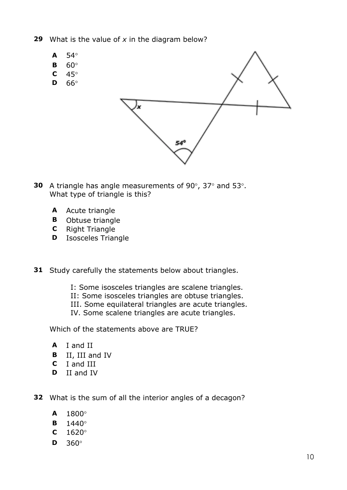- **29** What is the value of *x* in the diagram below?
	- **A** 54° **B** 60°  $C \quad 45^\circ$ **D** 66° 54°
- **30** A triangle has angle measurements of 90°, 37° and 53°. What type of triangle is this?
	- **A** Acute triangle
	- **B** Obtuse triangle
	- **C** Right Triangle
	- **D** Isosceles Triangle
- **31** Study carefully the statements below about triangles.
	- I: Some isosceles triangles are scalene triangles.
	- II: Some isosceles triangles are obtuse triangles.
	- III. Some equilateral triangles are acute triangles.
	- IV. Some scalene triangles are acute triangles.

Which of the statements above are TRUE?

- **A** I and II
- **B** II, III and IV
- **C** I and III
- **D** II and IV
- **32** What is the sum of all the interior angles of a decagon?
	- **A** 1800°
	- **B** 1440°
	- **C** 1620°
	- **D** 360°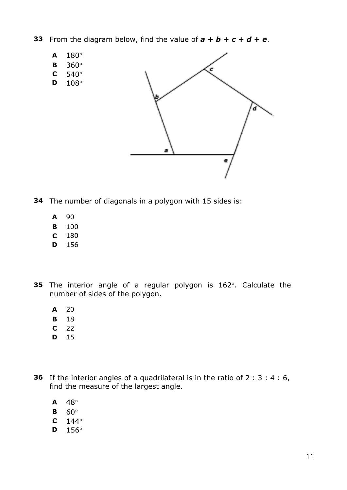- **33** From the diagram below, find the value of  $\mathbf{a} + \mathbf{b} + \mathbf{c} + \mathbf{d} + \mathbf{e}$ .
	- **A** 180°
	- **B** 360°
	- **C** 540°
	- **D** 108°



- **34** The number of diagonals in a polygon with 15 sides is:
	- **A** 90
	- **B** 100
	- **C** 180
	- **D** 156
- **35** The interior angle of a regular polygon is 162°. Calculate the number of sides of the polygon.
	- **A** 20
	- **B** 18
	- **C** 22
	- **D** 15
- **36** If the interior angles of a quadrilateral is in the ratio of 2 : 3 : 4 : 6, find the measure of the largest angle.
	- **A** 48°
	- **B** 60°
	- $C = 144^\circ$
	- **D** 156°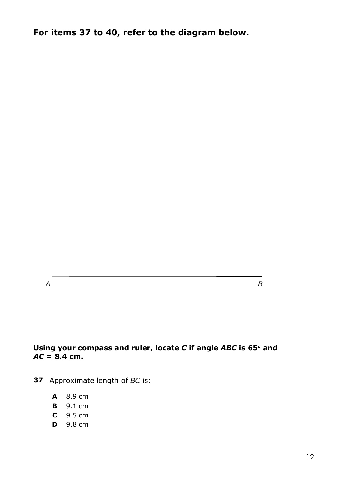**For items 37 to 40, refer to the diagram below.**

*A B*

#### **Using your compass and ruler, locate** *C* **if angle** *ABC* **is 65**° **and**   $AC = 8.4$  cm.

- **37** Approximate length of *BC* is:
	- **A** 8.9 cm
	- **B** 9.1 cm
	- **C** 9.5 cm
	- **D** 9.8 cm